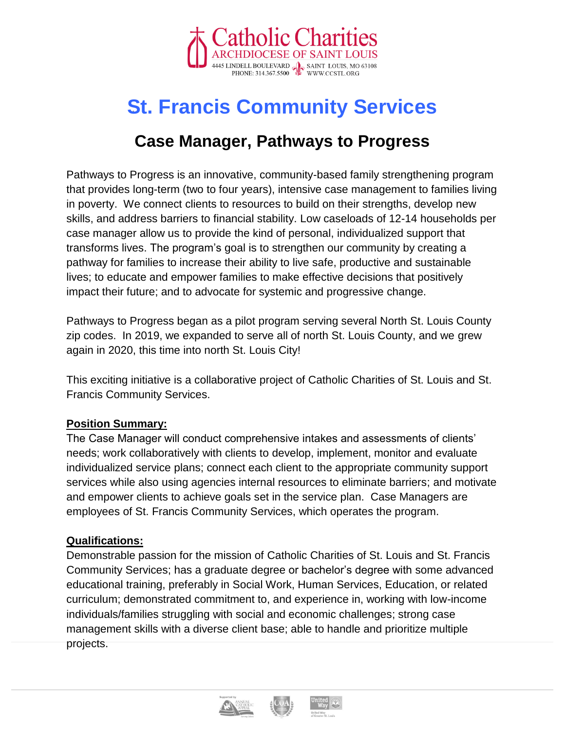

# **St. Francis Community Services**

# **Case Manager, Pathways to Progress**

Pathways to Progress is an innovative, community-based family strengthening program that provides long-term (two to four years), intensive case management to families living in poverty. We connect clients to resources to build on their strengths, develop new skills, and address barriers to financial stability. Low caseloads of 12-14 households per case manager allow us to provide the kind of personal, individualized support that transforms lives. The program's goal is to strengthen our community by creating a pathway for families to increase their ability to live safe, productive and sustainable lives; to educate and empower families to make effective decisions that positively impact their future; and to advocate for systemic and progressive change.

Pathways to Progress began as a pilot program serving several North St. Louis County zip codes. In 2019, we expanded to serve all of north St. Louis County, and we grew again in 2020, this time into north St. Louis City!

This exciting initiative is a collaborative project of Catholic Charities of St. Louis and St. Francis Community Services.

#### **Position Summary:**

The Case Manager will conduct comprehensive intakes and assessments of clients' needs; work collaboratively with clients to develop, implement, monitor and evaluate individualized service plans; connect each client to the appropriate community support services while also using agencies internal resources to eliminate barriers; and motivate and empower clients to achieve goals set in the service plan. Case Managers are employees of St. Francis Community Services, which operates the program.

#### **Qualifications:**

Demonstrable passion for the mission of Catholic Charities of St. Louis and St. Francis Community Services; has a graduate degree or bachelor's degree with some advanced educational training, preferably in Social Work, Human Services, Education, or related curriculum; demonstrated commitment to, and experience in, working with low-income individuals/families struggling with social and economic challenges; strong case management skills with a diverse client base; able to handle and prioritize multiple projects.